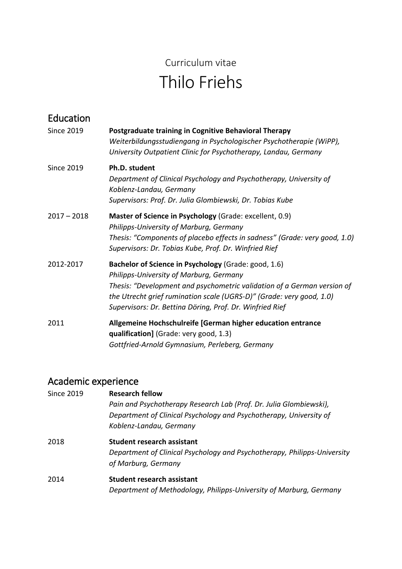# Curriculum vitae Thilo Friehs

| Education         |                                                                                                                                                                                                                                                                                                                |
|-------------------|----------------------------------------------------------------------------------------------------------------------------------------------------------------------------------------------------------------------------------------------------------------------------------------------------------------|
| <b>Since 2019</b> | Postgraduate training in Cognitive Behavioral Therapy<br>Weiterbildungsstudiengang in Psychologischer Psychotherapie (WiPP),<br>University Outpatient Clinic for Psychotherapy, Landau, Germany                                                                                                                |
| <b>Since 2019</b> | Ph.D. student<br>Department of Clinical Psychology and Psychotherapy, University of<br>Koblenz-Landau, Germany<br>Supervisors: Prof. Dr. Julia Glombiewski, Dr. Tobias Kube                                                                                                                                    |
| $2017 - 2018$     | Master of Science in Psychology (Grade: excellent, 0.9)<br>Philipps-University of Marburg, Germany<br>Thesis: "Components of placebo effects in sadness" (Grade: very good, 1.0)<br>Supervisors: Dr. Tobias Kube, Prof. Dr. Winfried Rief                                                                      |
| 2012-2017         | Bachelor of Science in Psychology (Grade: good, 1.6)<br>Philipps-University of Marburg, Germany<br>Thesis: "Development and psychometric validation of a German version of<br>the Utrecht grief rumination scale (UGRS-D)" (Grade: very good, 1.0)<br>Supervisors: Dr. Bettina Döring, Prof. Dr. Winfried Rief |
| 2011              | Allgemeine Hochschulreife [German higher education entrance<br>qualification] (Grade: very good, 1.3)<br>Gottfried-Arnold Gymnasium, Perleberg, Germany                                                                                                                                                        |

#### Academic experience

| Since 2019 | <b>Research fellow</b>                                                   |
|------------|--------------------------------------------------------------------------|
|            | Pain and Psychotherapy Research Lab (Prof. Dr. Julia Glombiewski),       |
|            | Department of Clinical Psychology and Psychotherapy, University of       |
|            | Koblenz-Landau, Germany                                                  |
| 2018       | Student research assistant                                               |
|            | Department of Clinical Psychology and Psychotherapy, Philipps-University |
|            | of Marburg, Germany                                                      |
| 2014       | <b>Student research assistant</b>                                        |
|            | Department of Methodology, Philipps-University of Marburg, Germany       |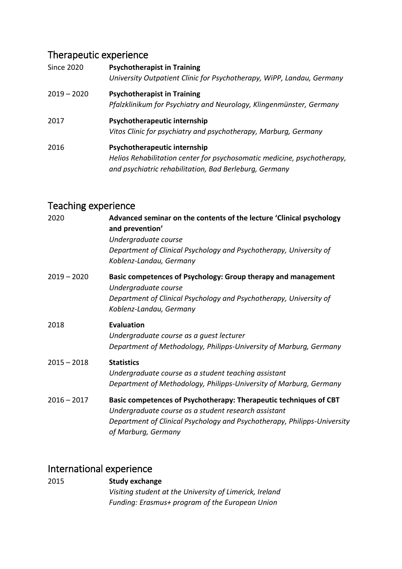## Therapeutic experience

| <b>Since 2020</b> | <b>Psychotherapist in Training</b><br>University Outpatient Clinic for Psychotherapy, WiPP, Landau, Germany                                                       |
|-------------------|-------------------------------------------------------------------------------------------------------------------------------------------------------------------|
| $2019 - 2020$     | <b>Psychotherapist in Training</b><br>Pfalzklinikum for Psychiatry and Neurology, Klingenmünster, Germany                                                         |
| 2017              | Psychotherapeutic internship<br>Vitos Clinic for psychiatry and psychotherapy, Marburg, Germany                                                                   |
| 2016              | Psychotherapeutic internship<br>Helios Rehabilitation center for psychosomatic medicine, psychotherapy,<br>and psychiatric rehabilitation, Bad Berleburg, Germany |

## Teaching experience

| Advanced seminar on the contents of the lecture 'Clinical psychology<br>and prevention'<br>Undergraduate course<br>Department of Clinical Psychology and Psychotherapy, University of<br>Koblenz-Landau, Germany             |
|------------------------------------------------------------------------------------------------------------------------------------------------------------------------------------------------------------------------------|
| Basic competences of Psychology: Group therapy and management<br>Undergraduate course<br>Department of Clinical Psychology and Psychotherapy, University of<br>Koblenz-Landau, Germany                                       |
| <b>Evaluation</b><br>Undergraduate course as a guest lecturer<br>Department of Methodology, Philipps-University of Marburg, Germany                                                                                          |
| <b>Statistics</b><br>Undergraduate course as a student teaching assistant<br>Department of Methodology, Philipps-University of Marburg, Germany                                                                              |
| Basic competences of Psychotherapy: Therapeutic techniques of CBT<br>Undergraduate course as a student research assistant<br>Department of Clinical Psychology and Psychotherapy, Philipps-University<br>of Marburg, Germany |
|                                                                                                                                                                                                                              |

## International experience

| 2015 | Study exchange                                          |
|------|---------------------------------------------------------|
|      | Visiting student at the University of Limerick, Ireland |
|      | Funding: Erasmus+ program of the European Union         |